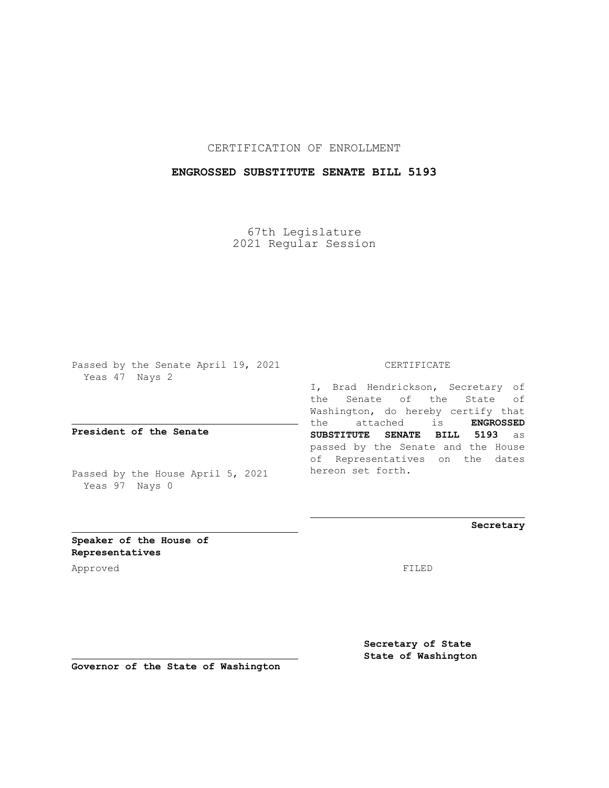CERTIFICATION OF ENROLLMENT

## **ENGROSSED SUBSTITUTE SENATE BILL 5193**

67th Legislature 2021 Regular Session

Passed by the Senate April 19, 2021 Yeas 47 Nays 2

**President of the Senate**

Passed by the House April 5, 2021 Yeas 97 Nays 0

CERTIFICATE

I, Brad Hendrickson, Secretary of the Senate of the State of Washington, do hereby certify that the attached is **ENGROSSED SUBSTITUTE SENATE BILL 5193** as passed by the Senate and the House of Representatives on the dates hereon set forth.

**Secretary**

**Speaker of the House of Representatives**

Approved FILED

**Secretary of State State of Washington**

**Governor of the State of Washington**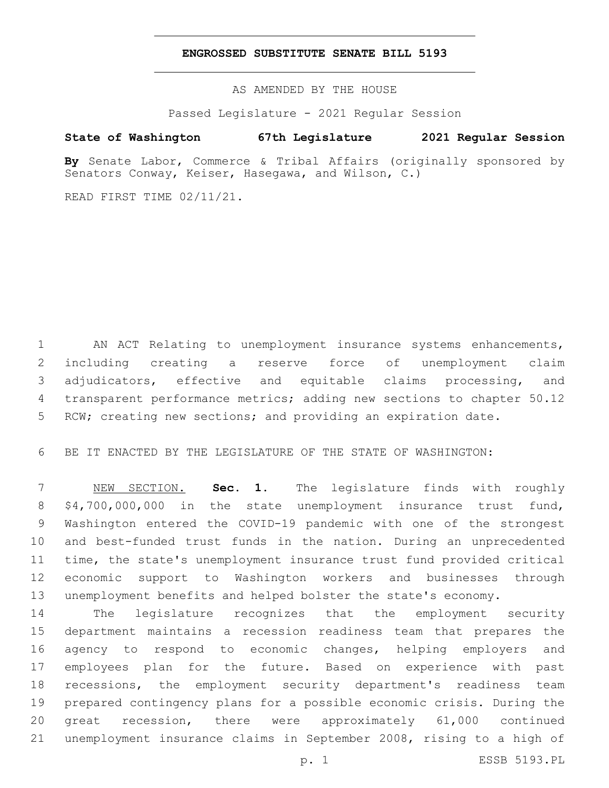## **ENGROSSED SUBSTITUTE SENATE BILL 5193**

AS AMENDED BY THE HOUSE

Passed Legislature - 2021 Regular Session

## **State of Washington 67th Legislature 2021 Regular Session**

**By** Senate Labor, Commerce & Tribal Affairs (originally sponsored by Senators Conway, Keiser, Hasegawa, and Wilson, C.)

READ FIRST TIME 02/11/21.

 AN ACT Relating to unemployment insurance systems enhancements, including creating a reserve force of unemployment claim adjudicators, effective and equitable claims processing, and transparent performance metrics; adding new sections to chapter 50.12 RCW; creating new sections; and providing an expiration date.

BE IT ENACTED BY THE LEGISLATURE OF THE STATE OF WASHINGTON:

 NEW SECTION. **Sec. 1.** The legislature finds with roughly \$4,700,000,000 in the state unemployment insurance trust fund, Washington entered the COVID-19 pandemic with one of the strongest and best-funded trust funds in the nation. During an unprecedented time, the state's unemployment insurance trust fund provided critical economic support to Washington workers and businesses through unemployment benefits and helped bolster the state's economy.

 The legislature recognizes that the employment security department maintains a recession readiness team that prepares the agency to respond to economic changes, helping employers and employees plan for the future. Based on experience with past recessions, the employment security department's readiness team prepared contingency plans for a possible economic crisis. During the great recession, there were approximately 61,000 continued unemployment insurance claims in September 2008, rising to a high of

p. 1 ESSB 5193.PL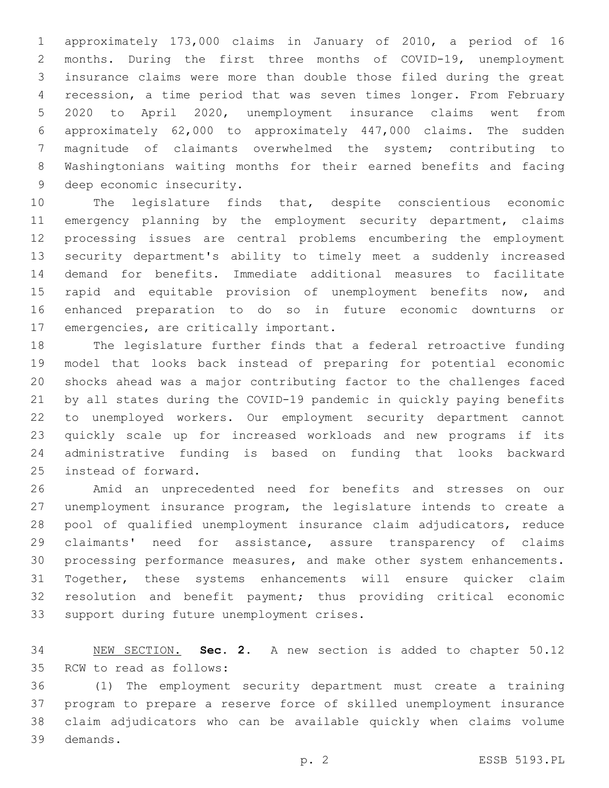approximately 173,000 claims in January of 2010, a period of 16 months. During the first three months of COVID-19, unemployment insurance claims were more than double those filed during the great recession, a time period that was seven times longer. From February 2020 to April 2020, unemployment insurance claims went from approximately 62,000 to approximately 447,000 claims. The sudden magnitude of claimants overwhelmed the system; contributing to Washingtonians waiting months for their earned benefits and facing 9 deep economic insecurity.

 The legislature finds that, despite conscientious economic 11 emergency planning by the employment security department, claims processing issues are central problems encumbering the employment security department's ability to timely meet a suddenly increased demand for benefits. Immediate additional measures to facilitate 15 rapid and equitable provision of unemployment benefits now, and enhanced preparation to do so in future economic downturns or 17 emergencies, are critically important.

 The legislature further finds that a federal retroactive funding model that looks back instead of preparing for potential economic shocks ahead was a major contributing factor to the challenges faced by all states during the COVID-19 pandemic in quickly paying benefits to unemployed workers. Our employment security department cannot quickly scale up for increased workloads and new programs if its administrative funding is based on funding that looks backward 25 instead of forward.

 Amid an unprecedented need for benefits and stresses on our unemployment insurance program, the legislature intends to create a pool of qualified unemployment insurance claim adjudicators, reduce claimants' need for assistance, assure transparency of claims processing performance measures, and make other system enhancements. Together, these systems enhancements will ensure quicker claim resolution and benefit payment; thus providing critical economic 33 support during future unemployment crises.

 NEW SECTION. **Sec. 2.** A new section is added to chapter 50.12 35 RCW to read as follows:

 (1) The employment security department must create a training program to prepare a reserve force of skilled unemployment insurance claim adjudicators who can be available quickly when claims volume demands.39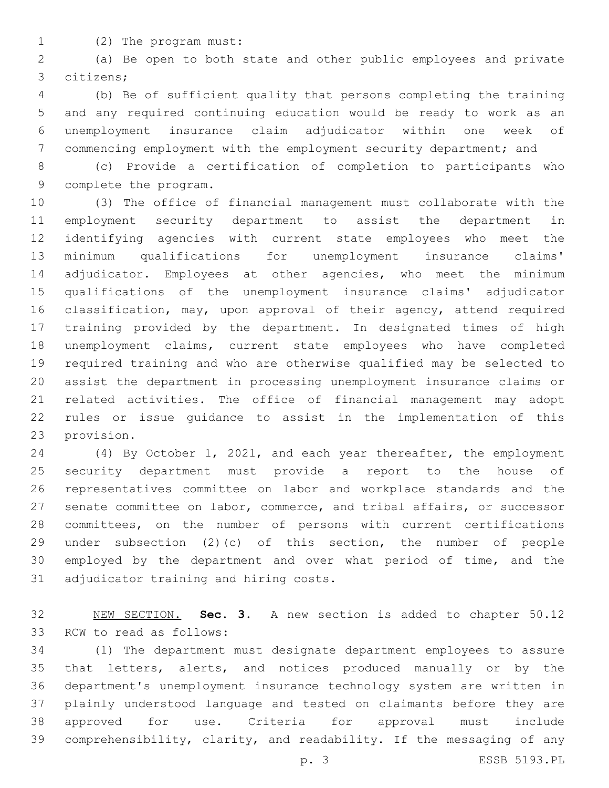- 
- 1 (2) The program must:

 (a) Be open to both state and other public employees and private citizens;3

 (b) Be of sufficient quality that persons completing the training and any required continuing education would be ready to work as an unemployment insurance claim adjudicator within one week of commencing employment with the employment security department; and

 (c) Provide a certification of completion to participants who 9 complete the program.

 (3) The office of financial management must collaborate with the employment security department to assist the department in identifying agencies with current state employees who meet the minimum qualifications for unemployment insurance claims' 14 adjudicator. Employees at other agencies, who meet the minimum qualifications of the unemployment insurance claims' adjudicator classification, may, upon approval of their agency, attend required training provided by the department. In designated times of high unemployment claims, current state employees who have completed required training and who are otherwise qualified may be selected to assist the department in processing unemployment insurance claims or related activities. The office of financial management may adopt rules or issue guidance to assist in the implementation of this 23 provision.

 (4) By October 1, 2021, and each year thereafter, the employment security department must provide a report to the house of representatives committee on labor and workplace standards and the senate committee on labor, commerce, and tribal affairs, or successor committees, on the number of persons with current certifications under subsection (2)(c) of this section, the number of people employed by the department and over what period of time, and the 31 adjudicator training and hiring costs.

 NEW SECTION. **Sec. 3.** A new section is added to chapter 50.12 33 RCW to read as follows:

 (1) The department must designate department employees to assure that letters, alerts, and notices produced manually or by the department's unemployment insurance technology system are written in plainly understood language and tested on claimants before they are approved for use. Criteria for approval must include comprehensibility, clarity, and readability. If the messaging of any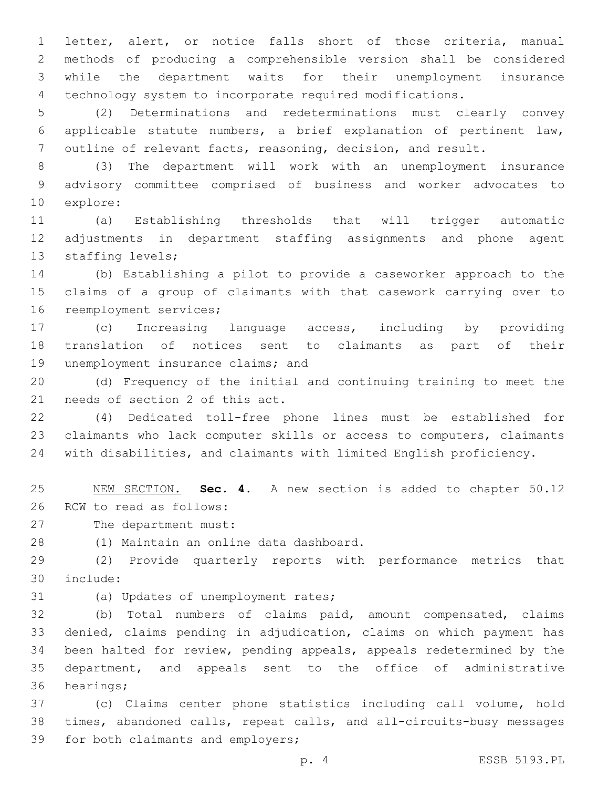letter, alert, or notice falls short of those criteria, manual methods of producing a comprehensible version shall be considered while the department waits for their unemployment insurance technology system to incorporate required modifications.

 (2) Determinations and redeterminations must clearly convey applicable statute numbers, a brief explanation of pertinent law, outline of relevant facts, reasoning, decision, and result.

 (3) The department will work with an unemployment insurance advisory committee comprised of business and worker advocates to 10 explore:

 (a) Establishing thresholds that will trigger automatic adjustments in department staffing assignments and phone agent 13 staffing levels;

 (b) Establishing a pilot to provide a caseworker approach to the claims of a group of claimants with that casework carrying over to 16 reemployment services;

 (c) Increasing language access, including by providing translation of notices sent to claimants as part of their 19 unemployment insurance claims; and

 (d) Frequency of the initial and continuing training to meet the 21 needs of section 2 of this act.

 (4) Dedicated toll-free phone lines must be established for claimants who lack computer skills or access to computers, claimants with disabilities, and claimants with limited English proficiency.

 NEW SECTION. **Sec. 4.** A new section is added to chapter 50.12 26 RCW to read as follows:

27 The department must:

(1) Maintain an online data dashboard.28

 (2) Provide quarterly reports with performance metrics that include:30

31 (a) Updates of unemployment rates;

 (b) Total numbers of claims paid, amount compensated, claims denied, claims pending in adjudication, claims on which payment has been halted for review, pending appeals, appeals redetermined by the department, and appeals sent to the office of administrative 36 hearings;

 (c) Claims center phone statistics including call volume, hold times, abandoned calls, repeat calls, and all-circuits-busy messages 39 for both claimants and employers;